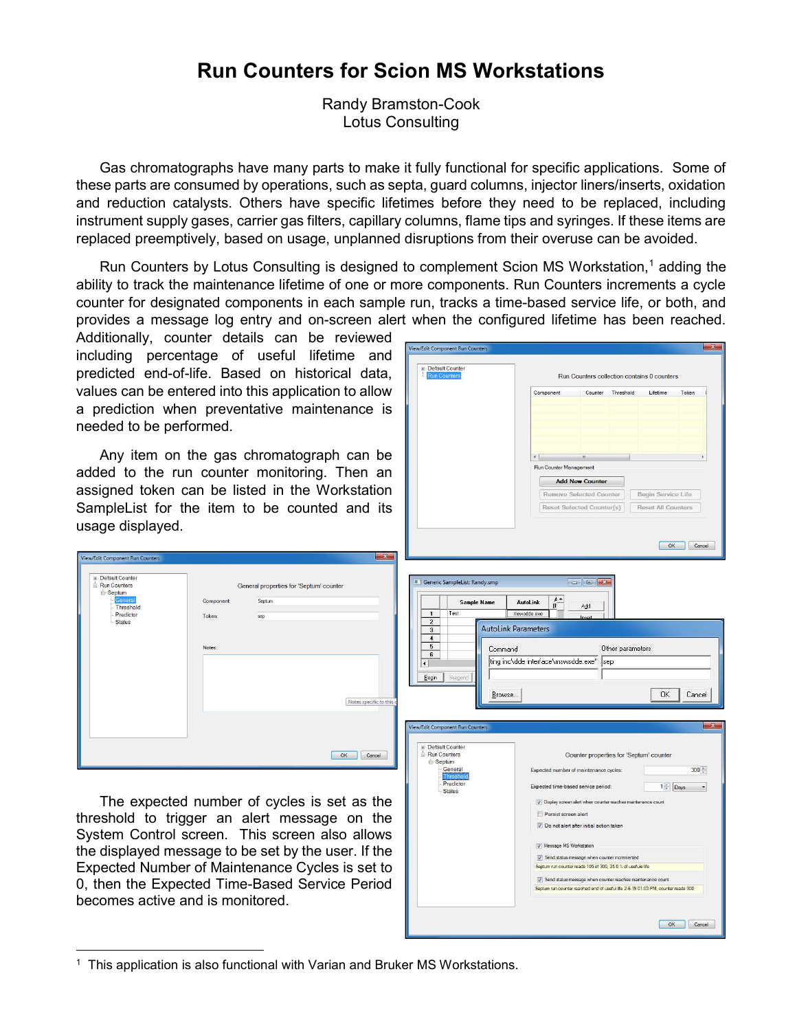## Run Counters for Scion MS Workstations

Randy Bramston-Cook Lotus Consulting

Gas chromatographs have many parts to make it fully functional for specific applications. Some of these parts are consumed by operations, such as septa, guard columns, injector liners/inserts, oxidation and reduction catalysts. Others have specific lifetimes before they need to be replaced, including instrument supply gases, carrier gas filters, capillary columns, flame tips and syringes. If these items are replaced preemptively, based on usage, unplanned disruptions from their overuse can be avoided.

Run Counters by Lotus Consulting is designed to complement Scion MS Workstation,<sup>1</sup> adding the ability to track the maintenance lifetime of one or more components. Run Counters increments a cycle counter for designated components in each sample run, tracks a time-based service life, or both, and provides a message log entry and on-screen alert when the configured lifetime has been reached.

Additionally, counter details can be reviewed including percentage of useful lifetime and predicted end-of-life. Based on historical data, values can be entered into this application to allow a prediction when preventative maintenance is needed to be performed.

Any item on the gas chromatograph can be added to the run counter monitoring. Then an assigned token can be listed in the Workstation SampleList for the item to be counted and its usage displayed.

Component

Token:

Notes

General properties for 'Septum' counter

Senti im

sep



OK Cancel

The expected number of cycles is set as the threshold to trigger an alert message on the System Control screen. This screen also allows the displayed message to be set by the user. If the Expected Number of Maintenance Cycles is set to 0, then the Expected Time-Based Service Period becomes active and is monitored.

View/Edit Component Run Counters .<br>Default Counte

> Run Counters Run Counters<br>⊟-Septum<br>Lisconarell

> > Threshold

Predictor

<sup>&</sup>lt;sup>1</sup> This application is also functional with Varian and Bruker MS Workstations.